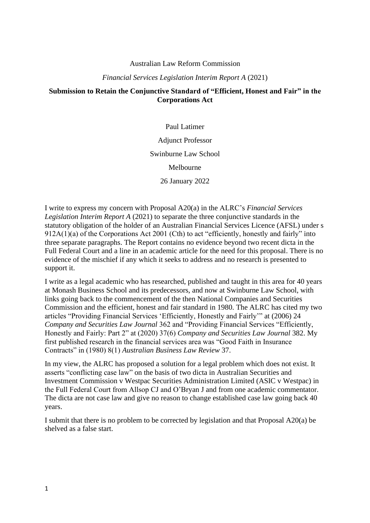#### Australian Law Reform Commission

#### *Financial Services Legislation Interim Report A* (2021)

#### **Submission to Retain the Conjunctive Standard of "Efficient, Honest and Fair" in the Corporations Act**

Paul Latimer Adjunct Professor Swinburne Law School Melbourne 26 January 2022

I write to express my concern with Proposal A20(a) in the ALRC's *Financial Services Legislation Interim Report A* (2021) to separate the three conjunctive standards in the statutory obligation of the holder of an Australian Financial Services Licence (AFSL) under s 912A(1)(a) of the Corporations Act 2001 (Cth) to act "efficiently, honestly and fairly" into three separate paragraphs. The Report contains no evidence beyond two recent dicta in the Full Federal Court and a line in an academic article for the need for this proposal. There is no evidence of the mischief if any which it seeks to address and no research is presented to support it.

I write as a legal academic who has researched, published and taught in this area for 40 years at Monash Business School and its predecessors, and now at Swinburne Law School, with links going back to the commencement of the then National Companies and Securities Commission and the efficient, honest and fair standard in 1980. The ALRC has cited my two articles "Providing Financial Services 'Efficiently, Honestly and Fairly'" at (2006) 24 *Company and Securities Law Journal* 362 and "Providing Financial Services "Efficiently, Honestly and Fairly: Part 2" at (2020) 37(6) *Company and Securities Law Journal* 382. My first published research in the financial services area was "Good Faith in Insurance Contracts" in (1980) 8(1) *Australian Business Law Review* 37.

In my view, the ALRC has proposed a solution for a legal problem which does not exist. It asserts "conflicting case law" on the basis of two dicta in Australian Securities and Investment Commission v Westpac Securities Administration Limited (ASIC v Westpac) in the Full Federal Court from Allsop CJ and O'Bryan J and from one academic commentator. The dicta are not case law and give no reason to change established case law going back 40 years.

I submit that there is no problem to be corrected by legislation and that Proposal A20(a) be shelved as a false start.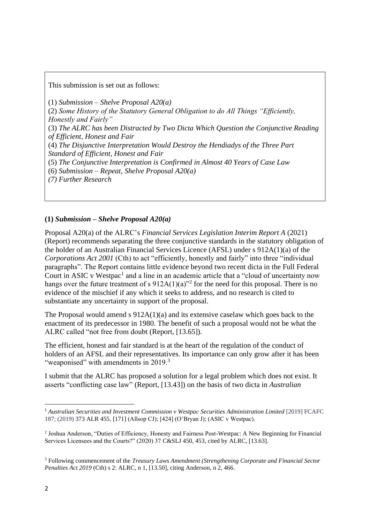This submission is set out as follows:

(1) *Submission – Shelve Proposal A20(a)*  (2) *Some History of the Statutory General Obligation to do All Things "Efficiently, Honestly and Fairly"*  (3) *The ALRC has been Distracted by Two Dicta Which Question the Conjunctive Reading of Efficient, Honest and Fair*  (4) *The Disjunctive Interpretation Would Destroy the Hendiadys of the Three Part Standard of Efficient, Honest and Fair* (5) *The Conjunctive Interpretation is Confirmed in Almost 40 Years of Case Law* (6) *Submission – Repeat, Shelve Proposal A20(a) (7) Further Research*

# **(1)** *Submission – Shelve Proposal A20(a)*

Proposal A20(a) of the ALRC's *Financial Services Legislation Interim Report A* (2021) (Report) recommends separating the three conjunctive standards in the statutory obligation of the holder of an Australian Financial Services Licence (AFSL) under s 912A(1)(a) of the *Corporations Act 2001* (Cth) to act "efficiently, honestly and fairly" into three "individual paragraphs". The Report contains little evidence beyond two recent dicta in the Full Federal Court in ASIC v Westpac<sup>1</sup> and a line in an academic article that a "cloud of uncertainty now hangs over the future treatment of s  $912A(1)(a)$ <sup>3</sup> for the need for this proposal. There is no evidence of the mischief if any which it seeks to address, and no research is cited to substantiate any uncertainty in support of the proposal.

The Proposal would amend s 912A(1)(a) and its extensive caselaw which goes back to the enactment of its predecessor in 1980. The benefit of such a proposal would not be what the ALRC called "not free from doubt (Report, [13.65]).

The efficient, honest and fair standard is at the heart of the regulation of the conduct of holders of an AFSL and their representatives. Its importance can only grow after it has been "weaponised" with amendments in 2019.<sup>3</sup>

I submit that the ALRC has proposed a solution for a legal problem which does not exist. It asserts "conflicting case law" (Report, [13.43]) on the basis of two dicta in *Australian* 

<sup>1</sup> *Australian Securities and Investment Commission v Westpac Securities Administration Limited* [2019] FCAFC 187; (2019) 373 ALR 455, [171] (Allsop CJ); [424] (O'Bryan J); (ASIC v Westpac).

<sup>&</sup>lt;sup>2</sup> Joshua Anderson, "Duties of Efficiency, Honesty and Fairness Post-Westpac: A New Beginning for Financial Services Licensees and the Courts?" (2020) 37 C&SLJ 450, 453, cited by ALRC, [13.63].

<sup>3</sup> Following commencement of the *Treasury Laws Amendment (Strengthening Corporate and Financial Sector Penalties Act 2019* (Cth) s 2: ALRC, n 1, [13.50], citing Anderson, n 2, 466.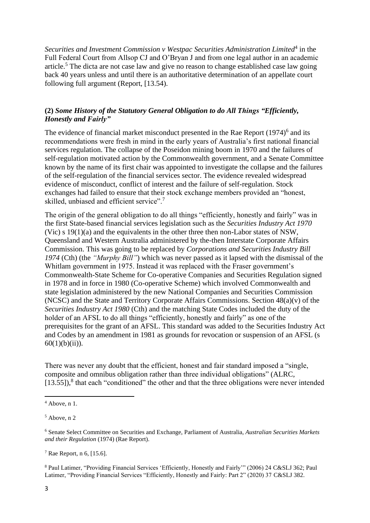Securities and Investment Commission v Westpac Securities Administration Limited<sup>4</sup> in the Full Federal Court from Allsop CJ and O'Bryan J and from one legal author in an academic article.<sup>5</sup> The dicta are not case law and give no reason to change established case law going back 40 years unless and until there is an authoritative determination of an appellate court following full argument (Report, [13.54).

# **(2)** *Some History of the Statutory General Obligation to do All Things "Efficiently, Honestly and Fairly"*

The evidence of financial market misconduct presented in the Rae Report  $(1974)^6$  and its recommendations were fresh in mind in the early years of Australia's first national financial services regulation. The collapse of the Poseidon mining boom in 1970 and the failures of self-regulation motivated action by the Commonwealth government, and a Senate Committee known by the name of its first chair was appointed to investigate the collapse and the failures of the self-regulation of the financial services sector. The evidence revealed widespread evidence of misconduct, conflict of interest and the failure of self-regulation. Stock exchanges had failed to ensure that their stock exchange members provided an "honest, skilled, unbiased and efficient service".<sup>7</sup>

The origin of the general obligation to do all things "efficiently, honestly and fairly" was in the first State-based financial services legislation such as the *Securities Industry Act 1970* (Vic) s 19(1)(a) and the equivalents in the other three then non-Labor states of NSW, Queensland and Western Australia administered by the-then Interstate Corporate Affairs Commission. This was going to be replaced by *Corporations and Securities Industry Bill 1974* (Cth) (the *"Murphy Bill"*) which was never passed as it lapsed with the dismissal of the Whitlam government in 1975. Instead it was replaced with the Fraser government's Commonwealth-State Scheme for Co-operative Companies and Securities Regulation signed in 1978 and in force in 1980 (Co-operative Scheme) which involved Commonwealth and state legislation administered by the new National Companies and Securities Commission (NCSC) and the State and Territory Corporate Affairs Commissions. Section 48(a)(v) of the *Securities Industry Act 1980* (Cth) and the matching State Codes included the duty of the holder of an AFSL to do all things "efficiently, honestly and fairly" as one of the prerequisites for the grant of an AFSL. This standard was added to the Securities Industry Act and Codes by an amendment in 1981 as grounds for revocation or suspension of an AFSL (s  $60(1)(b)(ii)$ ).

There was never any doubt that the efficient, honest and fair standard imposed a "single, composite and omnibus obligation rather than three individual obligations" (ALRC, [13.55]),<sup>8</sup> that each "conditioned" the other and that the three obligations were never intended

<sup>7</sup> Rae Report, n 6, [15.6].

<sup>8</sup> Paul Latimer, "Providing Financial Services 'Efficiently, Honestly and Fairly'" (2006) 24 C&SLJ 362; Paul Latimer, "Providing Financial Services "Efficiently, Honestly and Fairly: Part 2" (2020) 37 C&SLJ 382.

 $<sup>4</sup>$  Above, n 1.</sup>

 $<sup>5</sup>$  Above, n 2</sup>

<sup>6</sup> Senate Select Committee on Securities and Exchange, Parliament of Australia, *Australian Securities Markets and their Regulation* (1974) (Rae Report).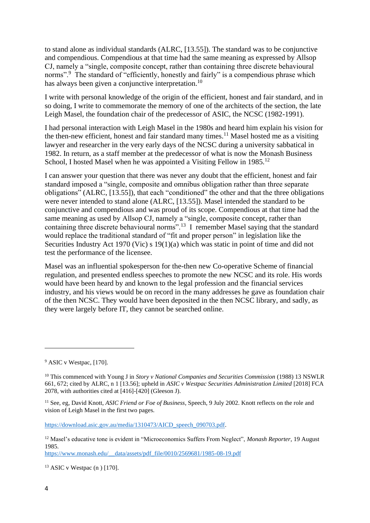to stand alone as individual standards (ALRC, [13.55]). The standard was to be conjunctive and compendious. Compendious at that time had the same meaning as expressed by Allsop CJ, namely a "single, composite concept, rather than containing three discrete behavioural norms".<sup>9</sup> The standard of "efficiently, honestly and fairly" is a compendious phrase which has always been given a conjunctive interpretation.<sup>10</sup>

I write with personal knowledge of the origin of the efficient, honest and fair standard, and in so doing, I write to commemorate the memory of one of the architects of the section, the late Leigh Masel, the foundation chair of the predecessor of ASIC, the NCSC (1982-1991).

I had personal interaction with Leigh Masel in the 1980s and heard him explain his vision for the then-new efficient, honest and fair standard many times.<sup>11</sup> Masel hosted me as a visiting lawyer and researcher in the very early days of the NCSC during a university sabbatical in 1982. In return, as a staff member at the predecessor of what is now the Monash Business School, I hosted Masel when he was appointed a Visiting Fellow in  $1985$ <sup>12</sup>

I can answer your question that there was never any doubt that the efficient, honest and fair standard imposed a "single, composite and omnibus obligation rather than three separate obligations" (ALRC, [13.55]), that each "conditioned" the other and that the three obligations were never intended to stand alone (ALRC, [13.55]). Masel intended the standard to be conjunctive and compendious and was proud of its scope. Compendious at that time had the same meaning as used by Allsop CJ, namely a "single, composite concept, rather than containing three discrete behavioural norms".<sup>13</sup> I remember Masel saying that the standard would replace the traditional standard of "fit and proper person" in legislation like the Securities Industry Act 1970 (Vic) s 19(1)(a) which was static in point of time and did not test the performance of the licensee.

Masel was an influential spokesperson for the-then new Co-operative Scheme of financial regulation, and presented endless speeches to promote the new NCSC and its role. His words would have been heard by and known to the legal profession and the financial services industry, and his views would be on record in the many addresses he gave as foundation chair of the then NCSC. They would have been deposited in the then NCSC library, and sadly, as they were largely before IT, they cannot be searched online.

[https://download.asic.gov.au/media/1310473/AICD\\_speech\\_090703.pdf.](https://download.asic.gov.au/media/1310473/AICD_speech_090703.pdf)

[https://www.monash.edu/\\_\\_data/assets/pdf\\_file/0010/2569681/1985-08-19.pdf](https://www.monash.edu/__data/assets/pdf_file/0010/2569681/1985-08-19.pdf)

 $13$  ASIC v Westpac (n) [170].

<sup>&</sup>lt;sup>9</sup> ASIC v Westpac, [170].

<sup>10</sup> This commenced with Young J in *Story v National Companies and Securities Commission* (1988) 13 NSWLR 661, 672; cited by ALRC, n 1 [13.56]; upheld in *ASIC v Westpac Securities Administration Limited* [2018] FCA 2078, with authorities cited at [416]-[420] (Gleeson J).

<sup>11</sup> See, eg, David Knott, *ASIC Friend or Foe of Business*, Speech, 9 July 2002. Knott reflects on the role and vision of Leigh Masel in the first two pages.

<sup>12</sup> Masel's educative tone is evident in "Microeconomics Suffers From Neglect", *Monash Reporter*, 19 August 1985.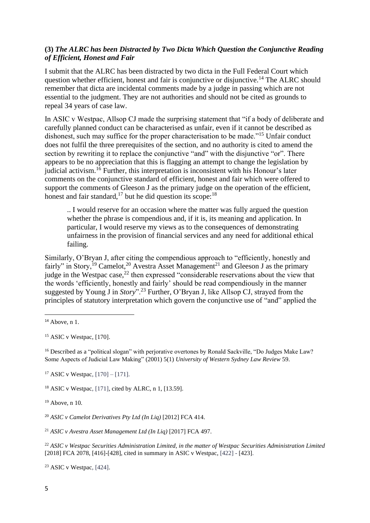## **(3)** *The ALRC has been Distracted by Two Dicta Which Question the Conjunctive Reading of Efficient, Honest and Fair*

I submit that the ALRC has been distracted by two dicta in the Full Federal Court which question whether efficient, honest and fair is conjunctive or disjunctive.<sup>14</sup> The ALRC should remember that dicta are incidental comments made by a judge in passing which are not essential to the judgment. They are not authorities and should not be cited as grounds to repeal 34 years of case law.

In ASIC v Westpac, Allsop CJ made the surprising statement that "if a body of deliberate and carefully planned conduct can be characterised as unfair, even if it cannot be described as dishonest, such may suffice for the proper characterisation to be made."<sup>15</sup> Unfair conduct does not fulfil the three prerequisites of the section, and no authority is cited to amend the section by rewriting it to replace the conjunctive "and" with the disjunctive "or". There appears to be no appreciation that this is flagging an attempt to change the legislation by judicial activism.<sup>16</sup> Further, this interpretation is inconsistent with his Honour's later comments on the conjunctive standard of efficient, honest and fair which were offered to support the comments of Gleeson J as the primary judge on the operation of the efficient, honest and fair standard,  $17$  but he did question its scope:  $18$ 

.. I would reserve for an occasion where the matter was fully argued the question whether the phrase is compendious and, if it is, its meaning and application. In particular, I would reserve my views as to the consequences of demonstrating unfairness in the provision of financial services and any need for additional ethical failing.

Similarly, O'Bryan J, after citing the compendious approach to "efficiently, honestly and fairly" in Story,<sup>19</sup> Camelot,<sup>20</sup> Avestra Asset Management<sup>21</sup> and Gleeson J as the primary judge in the Westpac case, $^{22}$  then expressed "considerable reservations about the view that the words 'efficiently, honestly and fairly' should be read compendiously in the manner suggested by Young J in *[Story](https://jade.io/citation/1322594)*".<sup>23</sup> Further, O'Bryan J, like Allsop CJ, strayed from the principles of statutory interpretation which govern the conjunctive use of "and" applied the

 $15$  ASIC v Westpac, [170].

<sup>16</sup> Described as a "political slogan" with perjorative overtones by Ronald Sackville, "Do Judges Make Law? Some Aspects of Judicial Law Making" (2001) 5(1) *University of Western Sydney Law Review* 59.

<sup>17</sup> ASIC v Westpac,  $[170] - [171]$ .

<sup>18</sup> ASIC v Westpac, [171], cited by ALRC, n 1, [13.59].

 $19$  Above, n 10.

<sup>20</sup> *ASIC v Camelot Derivatives Pty Ltd (In Liq)* [2012] FCA 414.

<sup>21</sup> *ASIC v Avestra Asset Management Ltd (In Liq)* [2017] FCA 497.

<sup>22</sup> *ASIC v Westpac Securities Administration Limited, in the matter of Westpac Securities Administration Limited* [2018] FCA 2078, [416]-[428], cited in summary in ASIC v Westpac, [422] - [423].

<sup>23</sup> ASIC v Westpac, [424].

 $14$  Above, n 1.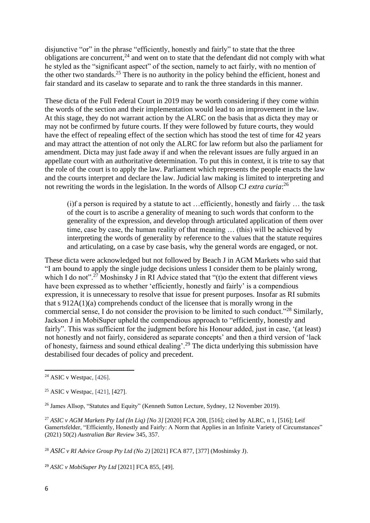disjunctive "or" in the phrase "efficiently, honestly and fairly" to state that the three obligations are concurrent,<sup>24</sup> and went on to state that the defendant did not comply with what he styled as the "significant aspect" of the section, namely to act fairly, with no mention of the other two standards.<sup>25</sup> There is no authority in the policy behind the efficient, honest and fair standard and its caselaw to separate and to rank the three standards in this manner.

These dicta of the Full Federal Court in 2019 may be worth considering if they come within the words of the section and their implementation would lead to an improvement in the law. At this stage, they do not warrant action by the ALRC on the basis that as dicta they may or may not be confirmed by future courts. If they were followed by future courts, they would have the effect of repealing effect of the section which has stood the test of time for 42 years and may attract the attention of not only the ALRC for law reform but also the parliament for amendment. Dicta may just fade away if and when the relevant issues are fully argued in an appellate court with an authoritative determination. To put this in context, it is trite to say that the role of the court is to apply the law. Parliament which represents the people enacts the law and the courts interpret and declare the law. Judicial law making is limited to interpreting and not rewriting the words in the legislation. In the words of Allsop CJ *extra curia*: 26

(i)f a person is required by a statute to act …efficiently, honestly and fairly … the task of the court is to ascribe a generality of meaning to such words that conform to the generality of the expression, and develop through articulated application of them over time, case by case, the human reality of that meaning … (this) will be achieved by interpreting the words of generality by reference to the values that the statute requires and articulating, on a case by case basis, why the general words are engaged, or not.

These dicta were acknowledged but not followed by Beach J in AGM Markets who said that "I am bound to apply the single judge decisions unless I consider them to be plainly wrong, which I do not".<sup>27</sup> Moshinsky J in RI Advice stated that "(t) the extent that different views have been expressed as to whether 'efficiently, honestly and fairly' is a compendious expression, it is unnecessary to resolve that issue for present purposes. Insofar as RI submits that s [912A\(1\)\(a\)](https://jade.io/article/216652/section/31056) comprehends conduct of the licensee that is morally wrong in the commercial sense, I do not consider the provision to be limited to such conduct."<sup>28</sup> Similarly, Jackson J in MobiSuper upheld the compendious approach to "efficiently, honestly and fairly". This was sufficient for the judgment before his Honour added, just in case, '(at least) not honestly and not fairly, considered as separate concepts' and then a third version of 'lack of honesty, fairness and sound ethical dealing'.<sup>29</sup> The dicta underlying this submission have destabilised four decades of policy and precedent.

 $24$  ASIC v Westpac, [426].

<sup>25</sup> ASIC v Westpac, [421], [427].

<sup>26</sup> James Allsop, "Statutes and Equity" (Kenneth Sutton Lecture, Sydney, 12 November 2019).

<sup>27</sup> *ASIC v AGM Markets Pty Ltd (In Liq) [No 3]* [2020] FCA 208, [516]; cited by ALRC, n 1, [516]; Leif Gamertsfelder, "Efficiently, Honestly and Fairly: A Norm that Applies in an Infinite Variety of Circumstances" (2021) 50(2) *Australian Bar Review* 345, 357.

<sup>28</sup> *ASIC v RI Advice Group Pty Ltd (No 2)* [2021] FCA 877, [377] (Moshinsky J).

<sup>29</sup> *ASIC v MobiSuper Pty Ltd* [2021] FCA 855, [49].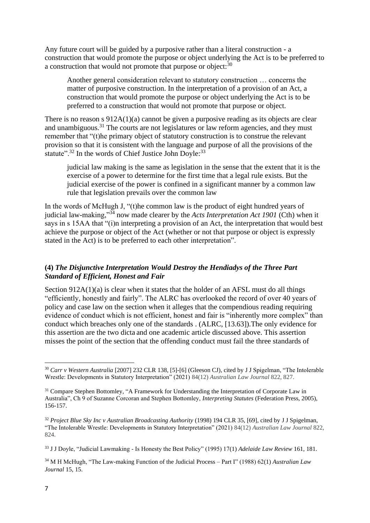Any future court will be guided by a purposive rather than a literal construction - a construction that would promote the purpose or object underlying the Act is to be preferred to a construction that would not promote that purpose or object: $30$ 

Another general consideration relevant to statutory construction … concerns the matter of purposive construction. In the interpretation of a provision of an Act, a construction that would promote the purpose or object underlying the Act is to be preferred to a construction that would not promote that purpose or object.

There is no reason s  $912A(1)(a)$  cannot be given a purposive reading as its objects are clear and unambiguous.<sup>31</sup> The courts are not legislatures or law reform agencies, and they must remember that "(t)he primary object of statutory construction is to construe the relevant provision so that it is consistent with the language and purpose of all the provisions of the statute".<sup>32</sup> In the words of Chief Justice John Doyle:<sup>33</sup>

judicial law making is the same as legislation in the sense that the extent that it is the exercise of a power to determine for the first time that a legal rule exists. But the judicial exercise of the power is confined in a significant manner by a common law rule that legislation prevails over the common law

In the words of McHugh J, "(t)he common law is the product of eight hundred years of judicial law-making,"<sup>34</sup> now made clearer by the *Acts Interpretation Act 1901* (Cth) when it says in s 15AA that "(i)n interpreting a provision of an Act, the interpretation that would best achieve the purpose or object of the Act (whether or not that purpose or object is expressly stated in the Act) is to be preferred to each other interpretation".

#### **(4)** *The Disjunctive Interpretation Would Destroy the Hendiadys of the Three Part Standard of Efficient, Honest and Fair*

Section 912A(1)(a) is clear when it states that the holder of an AFSL must do all things "efficiently, honestly and fairly". The ALRC has overlooked the record of over 40 years of policy and case law on the section when it alleges that the compendious reading requiring evidence of conduct which is not efficient, honest and fair is "inherently more complex" than conduct which breaches only one of the standards . (ALRC, [13.63]).The only evidence for this assertion are the two dicta and one academic article discussed above. This assertion misses the point of the section that the offending conduct must fail the three standards of

<sup>34</sup> M H McHugh, "The Law-making Function of the Judicial Process – Part I" (1988) 62(1) *Australian Law Journal* 15, 15.

<sup>30</sup> *Carr v Western Australia* [2007] 232 CLR 138, [5]-[6] (Gleeson CJ), cited by J J Spigelman, "The Intolerable Wrestle: Developments in Statutory Interpretation" (2021) 84(12) *Australian Law Journal* 822, 827.

<sup>&</sup>lt;sup>31</sup> Compare Stephen Bottomley, "A Framework for Understanding the Interpretation of Corporate Law in Australia", Ch 9 of Suzanne Corcoran and Stephen Bottomley, *Interpreting Statutes* (Federation Press, 2005), 156-157.

<sup>&</sup>lt;sup>32</sup> *Project Blue Sky Inc v Australian Broadcasting Authority* (1998) 194 CLR 35, [69], cited by J J Spigelman, "The Intolerable Wrestle: Developments in Statutory Interpretation" (2021) 84(12) *Australian Law Journal* 822, 824.

<sup>33</sup> J J Doyle, "Judicial Lawmaking - Is Honesty the Best Policy" (1995) 17(1) *Adelaide Law Review* 161, 181.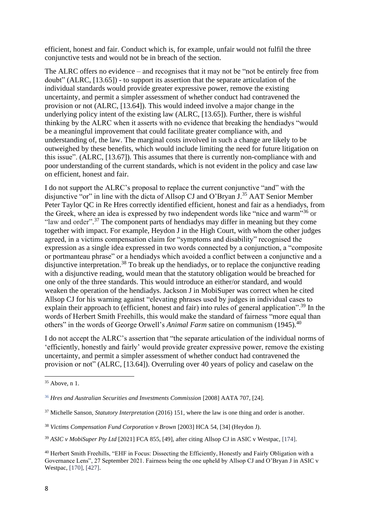efficient, honest and fair. Conduct which is, for example, unfair would not fulfil the three conjunctive tests and would not be in breach of the section.

The ALRC offers no evidence – and recognises that it may not be "not be entirely free from doubt" (ALRC, [13.65]) - to support its assertion that the separate articulation of the individual standards would provide greater expressive power, remove the existing uncertainty, and permit a simpler assessment of whether conduct had contravened the provision or not (ALRC, [13.64]). This would indeed involve a major change in the underlying policy intent of the existing law (ALRC, [13.65]). Further, there is wishful thinking by the ALRC when it asserts with no evidence that breaking the hendiadys "would be a meaningful improvement that could facilitate greater compliance with, and understanding of, the law. The marginal costs involved in such a change are likely to be outweighed by these benefits, which would include limiting the need for future litigation on this issue". (ALRC, [13.67]). This assumes that there is currently non-compliance with and poor understanding of the current standards, which is not evident in the policy and case law on efficient, honest and fair.

I do not support the ALRC's proposal to replace the current conjunctive "and" with the disjunctive "or" in line with the dicta of Allsop CJ and O'Bryan J.<sup>35</sup> AAT Senior Member Peter Taylor QC in Re Hres correctly identified efficient, honest and fair as a hendiadys, from the Greek, where an idea is expressed by two independent words like "nice and warm"<sup>36</sup> or "law and order".<sup>37</sup> The component parts of hendiadys may differ in meaning but they come together with impact. For example, Heydon J in the High Court, with whom the other judges agreed, in a victims compensation claim for "symptoms and disability" recognised the expression as a single idea expressed in two words connected by a conjunction, a "composite or portmanteau phrase" or a hendiadys which avoided a conflict between a conjunctive and a disjunctive interpretation.<sup>38</sup> To break up the hendiadys, or to replace the conjunctive reading with a disjunctive reading, would mean that the statutory obligation would be breached for one only of the three standards. This would introduce an either/or standard, and would weaken the operation of the hendiadys. Jackson J in MobiSuper was correct when he cited Allsop CJ for his warning against "elevating phrases used by judges in individual cases to explain their approach to (efficient, honest and fair) into rules of general application".<sup>39</sup> In the words of Herbert Smith Freehills, this would make the standard of fairness "more equal than others" in the words of George Orwell's *Animal Farm* satire on communism (1945).<sup>40</sup>

I do not accept the ALRC's assertion that "the separate articulation of the individual norms of 'efficiently, honestly and fairly' would provide greater expressive power, remove the existing uncertainty, and permit a simpler assessment of whether conduct had contravened the provision or not" (ALRC, [13.64]). Overruling over 40 years of policy and caselaw on the

 $35$  Above, n 1.

<sup>36</sup> *Hres and Australian Securities and Investments Commission* [2008] AATA 707, [24].

<sup>37</sup> Michelle Sanson, *Statutory Interpretation* (2016) 151, where the law is one thing and order is another.

<sup>38</sup> *Victims Compensation Fund Corporation v Brown* [2003] HCA 54, [34] (Heydon J).

<sup>39</sup> *ASIC v MobiSuper Pty Ltd* [2021] FCA 855, [49], after citing Allsop CJ in ASIC v Westpac, [174].

<sup>40</sup> Herbert Smith Freehills, "EHF in Focus: Dissecting the Efficiently, Honestly and Fairly Obligation with a Governance Lens", 27 September 2021. Fairness being the one upheld by Allsop CJ and O'Bryan J in ASIC v Westpac, [170], [427].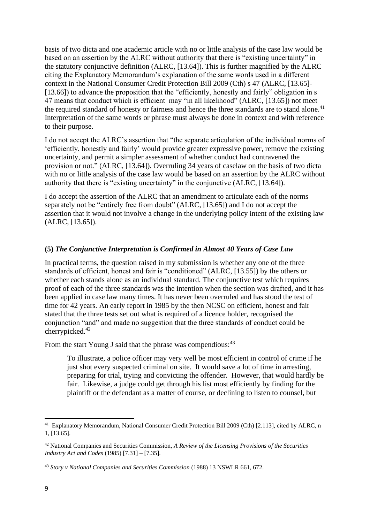basis of two dicta and one academic article with no or little analysis of the case law would be based on an assertion by the ALRC without authority that there is "existing uncertainty" in the statutory conjunctive definition (ALRC, [13.64]). This is further magnified by the ALRC citing the Explanatory Memorandum's explanation of the same words used in a different context in the National Consumer Credit Protection Bill 2009 (Cth) s 47 (ALRC, [13.65]- [13.66]) to advance the proposition that the "efficiently, honestly and fairly" obligation in s 47 means that conduct which is efficient may "in all likelihood" (ALRC, [13.65]) not meet the required standard of honesty or fairness and hence the three standards are to stand alone.<sup>41</sup> Interpretation of the same words or phrase must always be done in context and with reference to their purpose.

I do not accept the ALRC's assertion that "the separate articulation of the individual norms of 'efficiently, honestly and fairly' would provide greater expressive power, remove the existing uncertainty, and permit a simpler assessment of whether conduct had contravened the provision or not." (ALRC, [13.64]). Overruling 34 years of caselaw on the basis of two dicta with no or little analysis of the case law would be based on an assertion by the ALRC without authority that there is "existing uncertainty" in the conjunctive (ALRC, [13.64]).

I do accept the assertion of the ALRC that an amendment to articulate each of the norms separately not be "entirely free from doubt" (ALRC, [13.65]) and I do not accept the assertion that it would not involve a change in the underlying policy intent of the existing law (ALRC, [13.65]).

#### **(5)** *The Conjunctive Interpretation is Confirmed in Almost 40 Years of Case Law*

In practical terms, the question raised in my submission is whether any one of the three standards of efficient, honest and fair is "conditioned" (ALRC, [13.55]) by the others or whether each stands alone as an individual standard. The conjunctive test which requires proof of each of the three standards was the intention when the section was drafted, and it has been applied in case law many times. It has never been overruled and has stood the test of time for 42 years. An early report in 1985 by the then NCSC on efficient, honest and fair stated that the three tests set out what is required of a licence holder, recognised the conjunction "and" and made no suggestion that the three standards of conduct could be cherrypicked.<sup>42</sup>

From the start Young J said that the phrase was compendious:  $43$ 

To illustrate, a police officer may very well be most efficient in control of crime if he just shot every suspected criminal on site. It would save a lot of time in arresting, preparing for trial, trying and convicting the offender. However, that would hardly be fair. Likewise, a judge could get through his list most efficiently by finding for the plaintiff or the defendant as a matter of course, or declining to listen to counsel, but

<sup>&</sup>lt;sup>41</sup> Explanatory Memorandum, National Consumer Credit Protection Bill 2009 (Cth) [2.113], cited by ALRC, n 1, [13.65].

<sup>42</sup> National Companies and Securities Commission, *A Review of the Licensing Provisions of the Securities Industry Act and Codes* (1985) [7.31] – [7.35].

<sup>43</sup> *Story v National Companies and Securities Commission* (1988) 13 NSWLR 661, 672.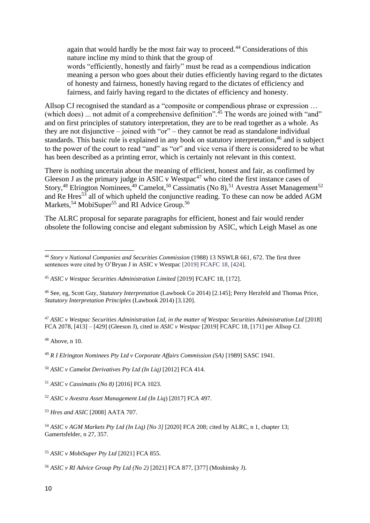again that would hardly be the most fair way to proceed.<sup>44</sup> Considerations of this nature incline my mind to think that the group of words "efficiently, honestly and fairly" must be read as a compendious indication meaning a person who goes about their duties efficiently having regard to the dictates of honesty and fairness, honestly having regard to the dictates of efficiency and fairness, and fairly having regard to the dictates of efficiency and honesty.

Allsop CJ recognised the standard as a "composite or compendious phrase or expression ... (which does) ... not admit of a comprehensive definition".<sup>45</sup> The words are joined with "and" and on first principles of statutory interpretation, they are to be read together as a whole. As they are not disjunctive – joined with "or" – they cannot be read as standalone individual standards. This basic rule is explained in any book on statutory interpretation,<sup>46</sup> and is subject to the power of the court to read "and" as "or" and vice versa if there is considered to be what has been described as a printing error, which is certainly not relevant in this context.

There is nothing uncertain about the meaning of efficient, honest and fair, as confirmed by Gleeson J as the primary judge in ASIC v Westpac<sup>47</sup> who cited the first instance cases of Story,<sup>48</sup> Elrington Nominees,<sup>49</sup> Camelot,<sup>50</sup> Cassimatis (No 8),<sup>51</sup> Avestra Asset Management<sup>52</sup> and Re Hres<sup>53</sup> all of which upheld the conjunctive reading. To these can now be added AGM Markets, <sup>54</sup> MobiSuper<sup>55</sup> and RI Advice Group.<sup>56</sup>

The ALRC proposal for separate paragraphs for efficient, honest and fair would render obsolete the following concise and elegant submission by ASIC, which Leigh Masel as one

<sup>47</sup> *ASIC v Westpac Securities Administration Ltd, in the matter of Westpac Securities Administration Ltd* [2018] FCA 2078, [413] – [429] (Gleeson J), cited in *ASIC v Westpac* [2019] FCAFC 18, [171] per Allsop CJ.

 $48$  Above, n 10.

<sup>50</sup> *ASIC v Camelot Derivatives Pty Ltd (In Liq)* [2012] FCA 414.

<sup>44</sup> *Story v National Companies and Securities Commission* (1988) 13 NSWLR 661, 672. The first three sentences were cited by O'Bryan J in ASIC v Westpac [2019] FCAFC 18, [424].

<sup>45</sup> *ASIC v Westpac Securities Administration Limited* [2019] FCAFC 18, [172].

<sup>46</sup> See, eg, Scott Guy, *Statutory Interpretation* (Lawbook Co 2014) [2.145]; Perry Herzfeld and Thomas Price, *Statutory Interpretation Principles* (Lawbook 2014) [3.120].

<sup>49</sup> *R I [Elrington Nominees Pty Ltd v Corporate Affairs Commission \(SA\)](https://jade.io/citation/8446822)* [1989] SASC 1941.

<sup>51</sup> *ASIC v Cassimatis (No 8)* [2016] FCA 1023.

<sup>52</sup> *ASIC v Avestra Asset Management Ltd (In Liq*) [2017] FCA 497.

<sup>53</sup> *Hres and ASIC* [2008] AATA 707.

<sup>54</sup> *ASIC v AGM Markets Pty Ltd (In Liq) [No 3]* [2020] FCA 208; cited by ALRC, n 1, chapter 13; Gamertsfelder, n 27, 357.

<sup>55</sup> *ASIC v MobiSuper Pty Ltd* [2021] FCA 855.

<sup>56</sup> *ASIC v RI Advice Group Pty Ltd (No 2)* [2021] FCA 877, [377] (Moshinsky J).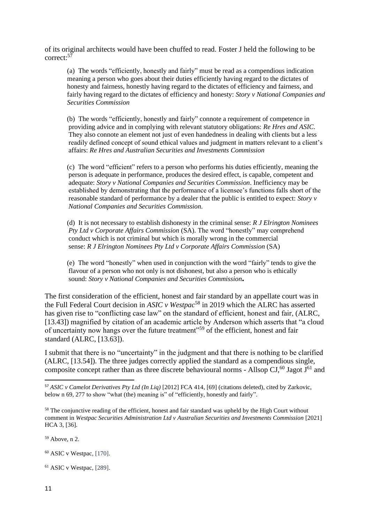of its original architects would have been chuffed to read. Foster J held the following to be correct: 57

(a) The words "efficiently, honestly and fairly" must be read as a compendious indication meaning a person who goes about their duties efficiently having regard to the dictates of honesty and fairness, honestly having regard to the dictates of efficiency and fairness, and fairly having regard to the dictates of efficiency and honesty: *Story [v National Companies and](https://jade.io/citation/1322594)  [Securities Commission](https://jade.io/citation/1322594)*

 (b) The words "efficiently, honestly and fairly" connote a requirement of competence in providing advice and in complying with relevant statutory obligations: *[Re Hres and ASIC](https://jade.io/article/692961)*. They also connote an element not just of even handedness in dealing with clients but a less readily defined concept of sound ethical values and judgment in matters relevant to a client's affairs: *[Re Hres and Australian Securities and Investments Commission](https://jade.io/article/692961)*

 (c) The word "efficient" refers to a person who performs his duties efficiently, meaning the person is adequate in performance, produces the desired effect, is capable, competent and adequate: *[Story v National Companies and Securities Commission](https://jade.io/citation/1322594)*. Inefficiency may be established by demonstrating that the performance of a licensee's functions falls short of the reasonable standard of performance by a dealer that the public is entitled to expect: *[Story v](https://jade.io/citation/1322594)  [National Companies and Securities Commission.](https://jade.io/citation/1322594)*

 (d) It is not necessary to establish dishonesty in the criminal sense: *R J Elrington Nominees Pty Ltd v Corporate Affairs Commission* (SA). The word "honestly" may comprehend conduct which is not criminal but which is morally wrong in the commercial sense: *R J Elrington Nominees Pty Ltd v Corporate Affairs Commission* (SA)

 (e) The word "honestly" when used in conjunction with the word "fairly" tends to give the flavour of a person who not only is not dishonest, but also a person who is ethically sound: *[Story v National Companies and Securities Commission](https://jade.io/citation/1322594).*

The first consideration of the efficient, honest and fair standard by an appellate court was in the Full Federal Court decision in *ASIC v Westpac*<sup>58</sup> in 2019 which the ALRC has asserted has given rise to "conflicting case law" on the standard of efficient, honest and fair, (ALRC, [13.43]) magnified by citation of an academic article by Anderson which asserts that "a cloud of uncertainty now hangs over the future treatment"<sup>59</sup> of the efficient, honest and fair standard (ALRC, [13.63]).

I submit that there is no "uncertainty" in the judgment and that there is nothing to be clarified (ALRC, [13.54]). The three judges correctly applied the standard as a compendious single, composite concept rather than as three discrete behavioural norms - Allsop  $CI^{60}$ , Jagot J<sup>61</sup> and

 $59$  Above, n 2.

<sup>60</sup> ASIC v Westpac, [170].

 $61$  ASIC v Westpac, [289].

<sup>57</sup> *ASIC v Camelot Derivatives Pty Ltd (In Liq)* [2012] FCA 414, [69] (citations deleted), cited by Zarkovic, below n 69, 277 to show "what (the) meaning is" of "efficiently, honestly and fairly".

<sup>&</sup>lt;sup>58</sup> The conjunctive reading of the efficient, honest and fair standard was upheld by the High Court without comment in *Westpac Securities Administration Ltd v Australian Securities and Investments Commission* [2021] HCA 3, [36].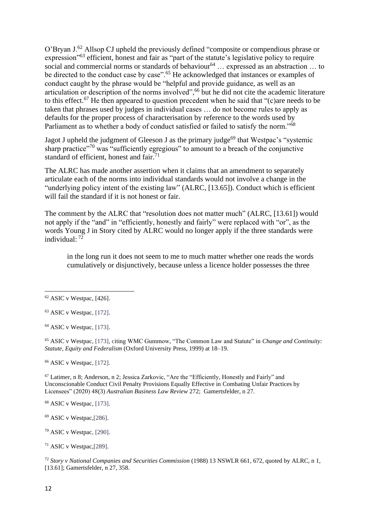O'Bryan J.<sup>62</sup> Allsop CJ upheld the previously defined "composite or compendious phrase or expression"<sup>63</sup> efficient, honest and fair as "part of the statute's legislative policy to require social and commercial norms or standards of behaviour<sup>64</sup> ... expressed as an abstraction ... to be directed to the conduct case by case".<sup>65</sup> He acknowledged that instances or examples of conduct caught by the phrase would be "helpful and provide guidance, as well as an articulation or description of the norms involved",<sup>66</sup> but he did not cite the academic literature to this effect.<sup>67</sup> He then appeared to question precedent when he said that " $(c)$ are needs to be taken that phrases used by judges in individual cases … do not become rules to apply as defaults for the proper process of characterisation by reference to the words used by Parliament as to whether a body of conduct satisfied or failed to satisfy the norm."<sup>68</sup>

Jagot J upheld the judgment of Gleeson J as the primary judge<sup>69</sup> that Westpac's "systemic sharp practice"<sup>70</sup> was "sufficiently egregious" to amount to a breach of the conjunctive standard of efficient, honest and fair.<sup>71</sup>

The ALRC has made another assertion when it claims that an amendment to separately articulate each of the norms into individual standards would not involve a change in the "underlying policy intent of the existing law" (ALRC, [13.65]). Conduct which is efficient will fail the standard if it is not honest or fair.

The comment by the ALRC that "resolution does not matter much" (ALRC, [13.61]) would not apply if the "and" in "efficiently, honestly and fairly" were replaced with "or", as the words Young J in Story cited by ALRC would no longer apply if the three standards were individual: <sup>72</sup>

in the long run it does not seem to me to much matter whether one reads the words cumulatively or disjunctively, because unless a licence holder possesses the three

 $64$  ASIC v Westpac, [173].

<sup>65</sup> ASIC v Westpac, [173], citing WMC Gummow, "The Common Law and Statute" in *Change and Continuity: Statute, Equity and Federalism* (Oxford University Press, 1999) at 18–19.

<sup>66</sup> ASIC v Westpac, [172].

<sup>67</sup> Latimer, n 8; Anderson, n 2; Jessica Zarkovic, "Are the "Efficiently, Honestly and Fairly" and Unconscionable Conduct Civil Penalty Provisions Equally Effective in Combating Unfair Practices by Licensees" (2020) 48(3) *Australian Business Law Review* 272; Gamertsfelder, n 27.

 $68$  ASIC v Westpac, [173].

<sup>69</sup> ASIC v Westpac*,*[286].

<sup>70</sup> ASIC v Westpac, [290].

<sup>71</sup> ASIC v Westpac*,*[289].

<sup>72</sup> *Story v National Companies and Securities Commission* (1988) 13 NSWLR 661, 672, quoted by ALRC, n 1, [13.61]; Gamertsfelder, n 27, 358.

 $62$  ASIC v Westpac, [426].

 $63$  ASIC v Westpac, [172].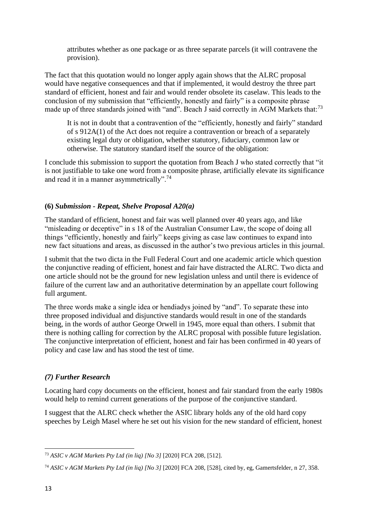attributes whether as one package or as three separate parcels (it will contravene the provision).

The fact that this quotation would no longer apply again shows that the ALRC proposal would have negative consequences and that if implemented, it would destroy the three part standard of efficient, honest and fair and would render obsolete its caselaw. This leads to the conclusion of my submission that "efficiently, honestly and fairly" is a composite phrase made up of three standards joined with "and". Beach J said correctly in AGM Markets that:<sup>73</sup>

It is not in doubt that a contravention of the "efficiently, honestly and fairly" standard of s [912A\(1\)](https://jade.io/article/216652/section/18087) of the [Act](https://jade.io/article/216652) does not require a contravention or breach of a separately existing legal duty or obligation, whether statutory, fiduciary, common law or otherwise. The statutory standard itself the source of the obligation:

I conclude this submission to support the quotation from Beach J who stated correctly that "it is not justifiable to take one word from a composite phrase, artificially elevate its significance and read it in a manner asymmetrically".<sup>74</sup>

# **(6)** *Submission - Repeat, Shelve Proposal A20(a)*

The standard of efficient, honest and fair was well planned over 40 years ago, and like "misleading or deceptive" in s 18 of the Australian Consumer Law, the scope of doing all things "efficiently, honestly and fairly" keeps giving as case law continues to expand into new fact situations and areas, as discussed in the author's two previous articles in this journal.

I submit that the two dicta in the Full Federal Court and one academic article which question the conjunctive reading of efficient, honest and fair have distracted the ALRC. Two dicta and one article should not be the ground for new legislation unless and until there is evidence of failure of the current law and an authoritative determination by an appellate court following full argument.

The three words make a single idea or hendiadys joined by "and". To separate these into three proposed individual and disjunctive standards would result in one of the standards being, in the words of author George Orwell in 1945, more equal than others. I submit that there is nothing calling for correction by the ALRC proposal with possible future legislation. The conjunctive interpretation of efficient, honest and fair has been confirmed in 40 years of policy and case law and has stood the test of time.

# *(7) Further Research*

Locating hard copy documents on the efficient, honest and fair standard from the early 1980s would help to remind current generations of the purpose of the conjunctive standard.

I suggest that the ALRC check whether the ASIC library holds any of the old hard copy speeches by Leigh Masel where he set out his vision for the new standard of efficient, honest

<sup>73</sup> *ASIC v AGM Markets Pty Ltd (in liq) [No 3]* [2020] FCA 208, [512].

<sup>74</sup> *ASIC v AGM Markets Pty Ltd (in liq) [No 3]* [2020] FCA 208, [528], cited by, eg, Gamertsfelder, n 27, 358.